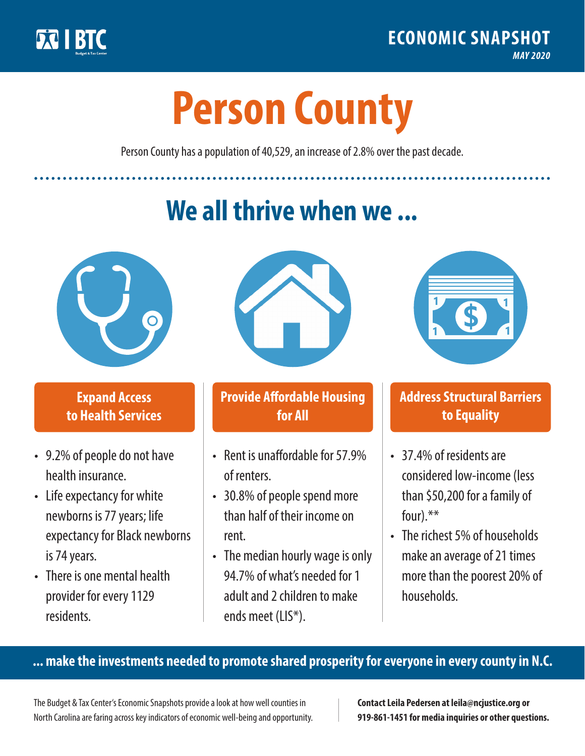

**1**

# **Person County**

Person County has a population of 40,529, an increase of 2.8% over the past decade.

# **We all thrive when we ...**



**\$ <sup>1</sup>**

**\$ <sup>1</sup>**

#### **Expand Access to Health Services**

- 9.2% of people do not have health insurance.
- Life expectancy for white newborns is 77 years; life expectancy for Black newborns is 74 years.
- There is one mental health provider for every 1129 residents.



## **Provide Affordable Housing for All**

- Rent is unaffordable for 57 9% of renters.
- 30.8% of people spend more than half of their income on rent.
- The median hourly wage is only 94.7% of what's needed for 1 adult and 2 children to make ends meet (LIS\*).



## **Address Structural Barriers to Equality**

- 37.4% of residents are considered low-income (less than \$50,200 for a family of four).\*\*
- The richest 5% of households make an average of 21 times more than the poorest 20% of households.

#### **... make the investments needed to promote shared prosperity for everyone in every county in N.C.**

The Budget & Tax Center's Economic Snapshots provide a look at how well counties in North Carolina are faring across key indicators of economic well-being and opportunity.